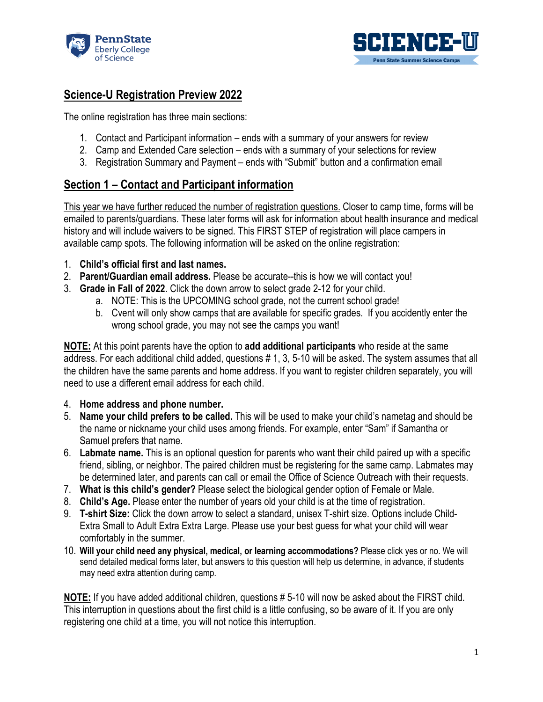



## **Science-U Registration Preview 2022**

The online registration has three main sections:

- 1. Contact and Participant information ends with a summary of your answers for review
- 2. Camp and Extended Care selection ends with a summary of your selections for review
- 3. Registration Summary and Payment ends with "Submit" button and a confirmation email

## **Section 1 – Contact and Participant information**

This year we have further reduced the number of registration questions. Closer to camp time, forms will be emailed to parents/guardians. These later forms will ask for information about health insurance and medical history and will include waivers to be signed. This FIRST STEP of registration will place campers in available camp spots. The following information will be asked on the online registration:

- 1. **Child's official first and last names.**
- 2. **Parent/Guardian email address.** Please be accurate--this is how we will contact you!
- 3. **Grade in Fall of 2022**. Click the down arrow to select grade 2-12 for your child.
	- a. NOTE: This is the UPCOMING school grade, not the current school grade!
		- b. Cvent will only show camps that are available for specific grades. If you accidently enter the wrong school grade, you may not see the camps you want!

**NOTE:** At this point parents have the option to **add additional participants** who reside at the same address. For each additional child added, questions # 1, 3, 5-10 will be asked. The system assumes that all the children have the same parents and home address. If you want to register children separately, you will need to use a different email address for each child.

- 4. **Home address and phone number.**
- 5. **Name your child prefers to be called.** This will be used to make your child's nametag and should be the name or nickname your child uses among friends. For example, enter "Sam" if Samantha or Samuel prefers that name.
- 6. **Labmate name.** This is an optional question for parents who want their child paired up with a specific friend, sibling, or neighbor. The paired children must be registering for the same camp. Labmates may be determined later, and parents can call or email the Office of Science Outreach with their requests.
- 7. **What is this child's gender?** Please select the biological gender option of Female or Male.
- 8. **Child's Age.** Please enter the number of years old your child is at the time of registration.
- 9. **T-shirt Size:** Click the down arrow to select a standard, unisex T-shirt size. Options include Child-Extra Small to Adult Extra Extra Large. Please use your best guess for what your child will wear comfortably in the summer.
- 10. **Will your child need any physical, medical, or learning accommodations?** Please click yes or no. We will send detailed medical forms later, but answers to this question will help us determine, in advance, if students may need extra attention during camp.

**NOTE:** If you have added additional children, questions # 5-10 will now be asked about the FIRST child. This interruption in questions about the first child is a little confusing, so be aware of it. If you are only registering one child at a time, you will not notice this interruption.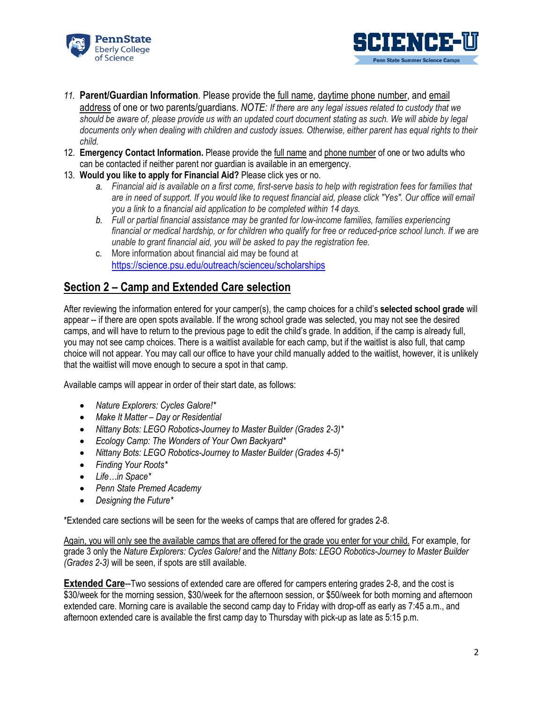



- *11.* **Parent/Guardian Information**. Please provide the full name, daytime phone number, and email address of one or two parents/guardians. *NOTE: If there are any legal issues related to custody that we*  should be aware of, please provide us with an updated court document stating as such. We will abide by legal *documents only when dealing with children and custody issues. Otherwise, either parent has equal rights to their child.*
- 12. **Emergency Contact Information.** Please provide the full name and phone number of one or two adults who can be contacted if neither parent nor guardian is available in an emergency.
- 13. **Would you like to apply for Financial Aid?** Please click yes or no.
	- *a. Financial aid is available on a first come, first-serve basis to help with registration fees for families that*  are in need of support. If you would like to request financial aid, please click "Yes". Our office will email *you a link to a financial aid application to be completed within 14 days.*
	- *b. Full or partial financial assistance may be granted for low-income families, families experiencing financial or medical hardship, or for children who qualify for free or reduced-price school lunch. If we are unable to grant financial aid, you will be asked to pay the registration fee.*
	- c. More information about financial aid may be found at <https://science.psu.edu/outreach/scienceu/scholarships>

## **Section 2 – Camp and Extended Care selection**

After reviewing the information entered for your camper(s), the camp choices for a child's **selected school grade** will appear -- if there are open spots available. If the wrong school grade was selected, you may not see the desired camps, and will have to return to the previous page to edit the child's grade. In addition, if the camp is already full, you may not see camp choices. There is a waitlist available for each camp, but if the waitlist is also full, that camp choice will not appear. You may call our office to have your child manually added to the waitlist, however, it is unlikely that the waitlist will move enough to secure a spot in that camp.

Available camps will appear in order of their start date, as follows:

- *Nature Explorers: Cycles Galore!\**
- *Make It Matter – Day or Residential*
- *Nittany Bots: LEGO Robotics-Journey to Master Builder (Grades 2-3)\**
- *Ecology Camp: The Wonders of Your Own Backyard\**
- *Nittany Bots: LEGO Robotics-Journey to Master Builder (Grades 4-5)\**
- *Finding Your Roots\**
- *Life…in Space\**
- *Penn State Premed Academy*
- *Designing the Future\**

\*Extended care sections will be seen for the weeks of camps that are offered for grades 2-8.

Again, you will only see the available camps that are offered for the grade you enter for your child. For example, for grade 3 only the *Nature Explorers: Cycles Galore!* and the *Nittany Bots: LEGO Robotics-Journey to Master Builder (Grades 2-3)* will be seen, if spots are still available.

**Extended Care--Two sessions of extended care are offered for campers entering grades 2-8, and the cost is** \$30/week for the morning session, \$30/week for the afternoon session, or \$50/week for both morning and afternoon extended care. Morning care is available the second camp day to Friday with drop-off as early as 7:45 a.m., and afternoon extended care is available the first camp day to Thursday with pick-up as late as 5:15 p.m.